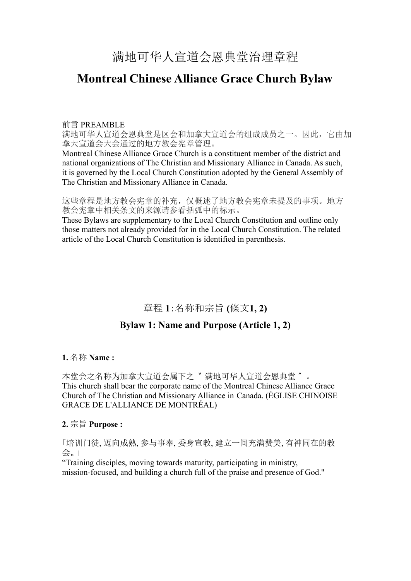# **Montreal Chinese Alliance Grace Church Bylaw**

#### 前言 PREAMBLE

满地可华人宣道会恩典堂是区会和加拿大宣道会的组成成员之一。因此,它由加 拿大宣道会大会通过的地方教会宪章管理。

Montreal Chinese Alliance Grace Church is a constituent member of the district and national organizations of The Christian and Missionary Alliance in Canada. As such, it is governed by the Local Church Constitution adopted by the General Assembly of The Christian and Missionary Alliance in Canada.

这些章程是地方教会宪章的补充,仅概述了地方教会宪章未提及的事项。地方 教会宪章中相关条文的来源请参看括弧中的标示。

These Bylaws are supplementary to the Local Church Constitution and outline only those matters not already provided for in the Local Church Constitution. The related article of the Local Church Constitution is identified in parenthesis.

# 章程 **1**:名称和宗旨 **(**條文**1, 2)**

## **Bylaw 1: Name and Purpose (Article 1, 2)**

### **1.** 名称 **Name :**

本堂会之名称为加拿大宣道会属下之〝 满地可华人宣道会恩典堂 〞。 This church shall bear the corporate name of the Montreal Chinese Alliance Grace Church of The Christian and Missionary Alliance in Canada. (ÉGLISE CHINOISE GRACE DE L'ALLIANCE DE MONTRÉAL)

### **2.** 宗旨 **Purpose :**

「培训门徒, 迈向成熟, 参与事奉, 委身宣教, 建立一间充满赞美, 有神同在的教 会。」

"Training disciples, moving towards maturity, participating in ministry, mission-focused, and building a church full of the praise and presence of God."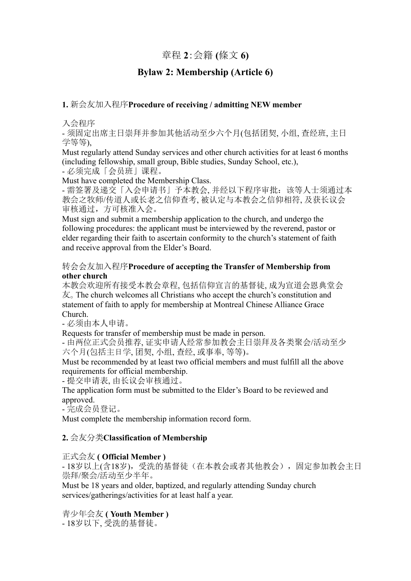## 章程 **2**:会籍 **(**條文 **6)**

## **Bylaw 2: Membership (Article 6)**

### **1.** 新会友加入程序**Procedure of receiving / admitting NEW member**

入会程序

- 须固定出席主日崇拜并参加其他活动至少六个月(包括团契, 小组, 查经班, 主日 学等等),

Must regularly attend Sunday services and other church activities for at least 6 months (including fellowship, small group, Bible studies, Sunday School, etc.),

- 必须完成「会员班」课程。

Must have completed the Membership Class.

- 需签署及递交「入会申请书」予本教会, 并经以下程序审批:该等人士须通过本 教会之牧师/传道人或长老之信仰查考, 被认定与本教会之信仰相符, 及获长议会 审核通过,方可核准入会。

Must sign and submit a membership application to the church, and undergo the following procedures: the applicant must be interviewed by the reverend, pastor or elder regarding their faith to ascertain conformity to the church's statement of faith and receive approval from the Elder's Board.

#### 转会会友加入程序**Procedure of accepting the Transfer of Membership from other church**

本教会欢迎所有接受本教会章程, 包括信仰宣言的基督徒, 成为宣道会恩典堂会 友。The church welcomes all Christians who accept the church's constitution and statement of faith to apply for membership at Montreal Chinese Alliance Grace Church.

- 必须由本人申请。

Requests for transfer of membership must be made in person.

- 由两位正式会员推荐, 证实申请人经常参加教会主日崇拜及各类聚会/活动至少 六个月(包括主日学, 团契, 小组, 查经, 或事奉, 等等)。

Must be recommended by at least two official members and must fulfill all the above requirements for official membership.

- 提交申请表, 由长议会审核通过。

The application form must be submitted to the Elder's Board to be reviewed and approved.

- 完成会员登记。

Must complete the membership information record form.

### **2.** 会友分类**Classification of Membership**

#### 正式会友 **( Official Member )**

- 18岁以上(含18岁),受洗的基督徒(在本教会或者其他教会),固定参加教会主日 崇拜/聚会/活动至少半年。

Must be 18 years and older, baptized, and regularly attending Sunday church services/gatherings/activities for at least half a year.

### 青少年会友 **( Youth Member )**

- 18岁以下, 受洗的基督徒。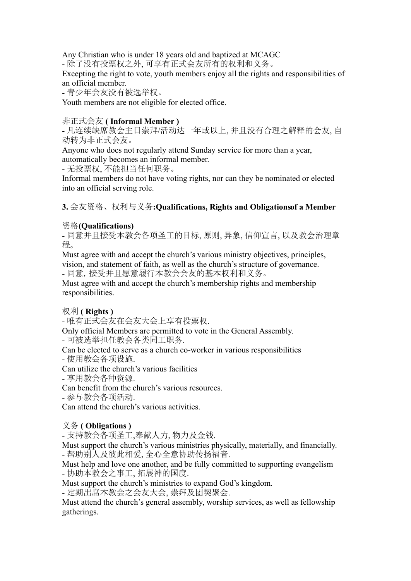Any Christian who is under 18 years old and baptized at MCAGC

- 除了没有投票权之外, 可享有正式会友所有的权利和义务。

Excepting the right to vote, youth members enjoy all the rights and responsibilities of an official member.

- 青少年会友没有被选举权。

Youth members are not eligible for elected office.

#### 非正式会友 **( Informal Member )**

- 凡连续缺席教会主日崇拜/活动达一年或以上, 并且没有合理之解释的会友, 自 动转为非正式会友。

Anyone who does not regularly attend Sunday service for more than a year, automatically becomes an informal member.

- 无投票权, 不能担当任何职务。

Informal members do not have voting rights, nor can they be nominated or elected into an official serving role.

### **3.** 会友资格、权利与义务**:Qualifications, Rights and Obligationsof a Member**

## 资格**(Qualifications)**

- 同意并且接受本教会各项圣工的目标, 原则, 异象, 信仰宣言, 以及教会治理章 程。

Must agree with and accept the church's various ministry objectives, principles, vision, and statement of faith, as well as the church's structure of governance.

- 同意,接受并且愿意履行本教会会友的基本权利和义务。

Must agree with and accept the church's membership rights and membership responsibilities.

### 权利 **( Rights )**

- 唯有正式会友在会友大会上享有投票权.

Only official Members are permitted to vote in the General Assembly. - 可被选举担任教会各类同工职务.

Can be elected to serve as a church co-worker in various responsibilities

- 使用教会各项设施.

Can utilize the church's various facilities

- 享用教会各种资源.

Can benefit from the church's various resources.

- 参与教会各项活动.

Can attend the church's various activities.

### 义务 **( Obligations )**

- 支持教会各项圣工,奉献人力, 物力及金钱.

Must support the church's various ministries physically, materially, and financially. - 帮助别人及彼此相爱, 全心全意协助传扬福音.

Must help and love one another, and be fully committed to supporting evangelism - 协助本教会之事工, 拓展神的国度.

Must support the church's ministries to expand God's kingdom.

- 定期出席本教会之会友大会, 崇拜及团契聚会.

Must attend the church's general assembly, worship services, as well as fellowship gatherings.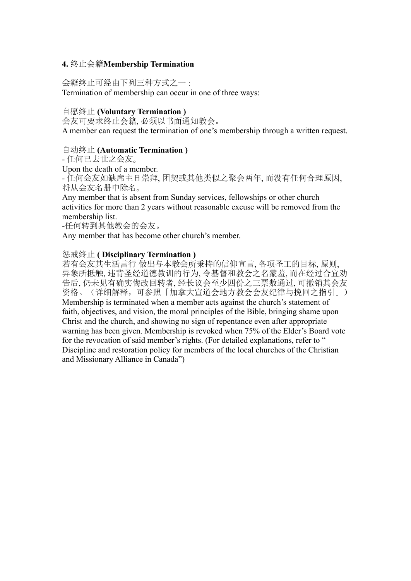#### **4.** 终止会籍**Membership Termination**

会籍终止可经由下列三种方式之一 : Termination of membership can occur in one of three ways:

#### 自愿终止 **(Voluntary Termination )**

会友可要求终止会籍, 必须以书面通知教会。 A member can request the termination of one's membership through a written request.

#### 自动终止 **(Automatic Termination )**

- 任何已去世之会友。

Upon the death of a member.

- 任何会友如缺席主日崇拜, 团契或其他类似之聚会两年, 而没有任何合理原因, 将从会友名册中除名。

Any member that is absent from Sunday services, fellowships or other church activities for more than 2 years without reasonable excuse will be removed from the membership list.

-任何转到其他教会的会友。

Any member that has become other church's member.

#### 惩戒终止 **( Disciplinary Termination )**

若有会友其生活言行 做出与本教会所秉持的信仰宣言, 各项圣工的目标, 原则, 异象所抵触, 违背圣经道德教训的行为, 令基督和教会之名蒙羞, 而在经过合宜劝 告后, 仍未见有确实悔改回转者, 经长议会至少四份之三票数通过, 可撤销其会友 资格。(详细解释,可参照「加拿大宣道会地方教会会友纪律与挽回之指引」) Membership is terminated when a member acts against the church's statement of faith, objectives, and vision, the moral principles of the Bible, bringing shame upon Christ and the church, and showing no sign of repentance even after appropriate warning has been given. Membership is revoked when 75% of the Elder's Board vote for the revocation of said member's rights. (For detailed explanations, refer to " Discipline and restoration policy for members of the local churches of the Christian and Missionary Alliance in Canada")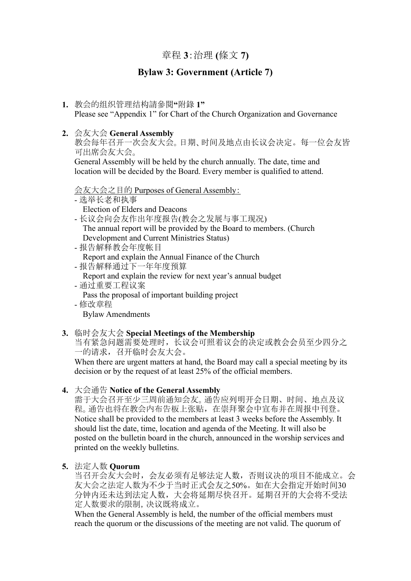## 章程 **3**:治理 **(**條文 **7)**

## **Bylaw 3: Government (Article 7)**

- **1.** 教会的组织管理结构請參閱**"**附錄 **1"** Please see "Appendix 1" for Chart of the Church Organization and Governance
- **2.** 会友大会 **General Assembly**

教会每年召开一次会友大会。日期、时间及地点由长议会决定。每一位会友皆 可出席会友大会。

General Assembly will be held by the church annually. The date, time and location will be decided by the Board. Every member is qualified to attend.

会友大会之目的 Purposes of General Assembly:

- 选举长老和执事 Election of Elders and Deacons
- 长议会向会友作出年度报告(教会之发展与事工现况) The annual report will be provided by the Board to members. (Church Development and Current Ministries Status)
- 报告解释教会年度帐目
- Report and explain the Annual Finance of the Church - 报告解释通过下一年年度预算
- Report and explain the review for next year's annual budget
- 通过重要工程议案
	- Pass the proposal of important building project
- 修改章程 Bylaw Amendments

#### **3.** 临时会友大会 **Special Meetings of the Membership**

当有紧急问题需要处理时,长议会可照着议会的决定或教会会员至少四分之 一的请求,召开临时会友大会。

When there are urgent matters at hand, the Board may call a special meeting by its decision or by the request of at least 25% of the official members.

**4.** 大会通告 **Notice of the General Assembly**

需于大会召开至少三周前通知会友。通告应列明开会日期、时间、地点及议 程。通告也将在教会内布告板上张贴,在崇拜聚会中宣布并在周报中刊登。 Notice shall be provided to the members at least 3 weeks before the Assembly. It should list the date, time, location and agenda of the Meeting. It will also be posted on the bulletin board in the church, announced in the worship services and printed on the weekly bulletins.

#### **5.** 法定人数 **Quorum**

当召开会友大会时,会友必须有足够法定人数,否则议决的项目不能成立。会 友大会之法定人数为不少于当时正式会友之50%。如在大会指定开始时间30 分钟内还未达到法定人数,大会将延期尽快召开。延期召开的大会将不受法 定人数要求的限制,决议既将成立。

When the General Assembly is held, the number of the official members must reach the quorum or the discussions of the meeting are not valid. The quorum of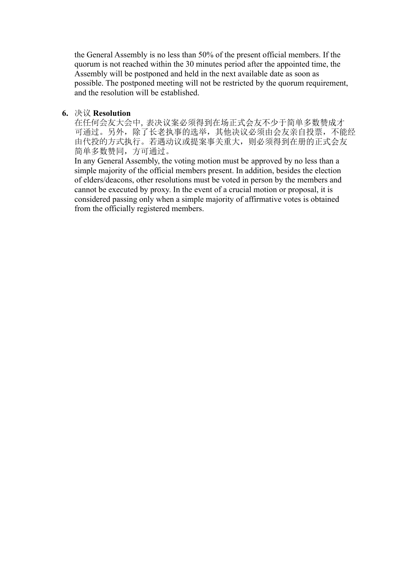the General Assembly is no less than 50% of the present official members. If the quorum is not reached within the 30 minutes period after the appointed time, the Assembly will be postponed and held in the next available date as soon as possible. The postponed meeting will not be restricted by the quorum requirement, and the resolution will be established.

#### **6.** 决议 **Resolution**

在任何会友大会中,表决议案必须得到在场正式会友不少于简单多数赞成才 可通过。另外,除了长老执事的选举,其他决议必须由会友亲自投票,不能经 由代投的方式执行。若遇动议或提案事关重大,则必须得到在册的正式会友 简单多数赞同,方可通过。

In any General Assembly, the voting motion must be approved by no less than a simple majority of the official members present. In addition, besides the election of elders/deacons, other resolutions must be voted in person by the members and cannot be executed by proxy. In the event of a crucial motion or proposal, it is considered passing only when a simple majority of affirmative votes is obtained from the officially registered members.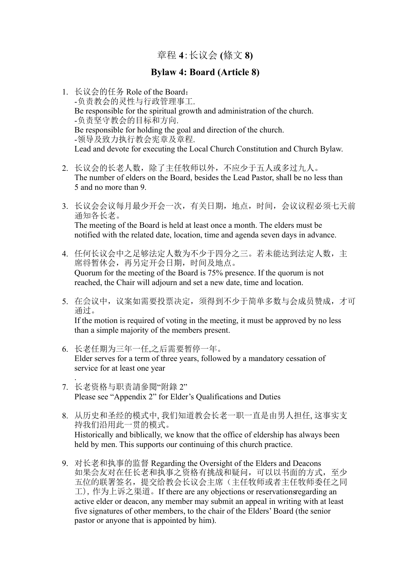章程 **4**:长议会 **(**條文 **8)**

## **Bylaw 4: Board (Article 8)**

- 1. 长议会的任务 Role of the Board: -负责教会的灵性与行政管理事工. Be responsible for the spiritual growth and administration of the church. -负责坚守教会的目标和方向. Be responsible for holding the goal and direction of the church. -领导及致力执行教会宪章及章程. Lead and devote for executing the Local Church Constitution and Church Bylaw.
- 2. 长议会的长老人数,除了主任牧师以外,不应少于五人或多过九人。 The number of elders on the Board, besides the Lead Pastor, shall be no less than 5 and no more than 9.
- 3. 长议会会议每月最少开会一次,有关日期,地点,时间,会议议程必须七天前 通知各长老。 The meeting of the Board is held at least once a month. The elders must be notified with the related date, location, time and agenda seven days in advance.
- 4. 任何长议会中之足够法定人数为不少于四分之三。若未能达到法定人数,主 席将暂休会,再另定开会日期,时间及地点。 Quorum for the meeting of the Board is 75% presence. If the quorum is not reached, the Chair will adjourn and set a new date, time and location.
- 5. 在会议中,议案如需要投票决定,须得到不少于简单多数与会成员赞成,才可 通过。

If the motion is required of voting in the meeting, it must be approved by no less than a simple majority of the members present.

- 6. 长老任期为三年一任,之后需要暂停一年。 Elder serves for a term of three years, followed by a mandatory cessation of service for at least one year .
- 7. 长老资格与职责請參閱"附錄 2" Please see "Appendix 2" for Elder's Qualifications and Duties
- 8. 从历史和圣经的模式中, 我们知道教会长老一职一直是由男人担任, 这事实支 持我们沿用此一贯的模式。 Historically and biblically, we know that the office of eldership has always been held by men. This supports our continuing of this church practice.
- 9. 对长老和执事的监督 Regarding the Oversight of the Elders and Deacons 如果会友对在任长老和执事之资格有挑战和疑问,可以以书面的方式,至少 五位的联署签名,提交给教会长议会主席(主任牧师或者主任牧师委任之同 工),作为上诉之渠道。If there are any objections or reservationsregarding an active elder or deacon, any member may submit an appeal in writing with at least five signatures of other members, to the chair of the Elders' Board (the senior pastor or anyone that is appointed by him).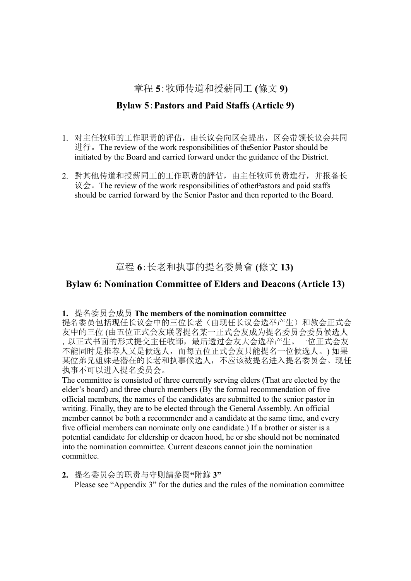## 章程 **5**:牧师传道和授薪同工 **(**條文 **9)**

## **Bylaw 5**:**Pastors and Paid Staffs (Article 9)**

- 1. 对主任牧师的工作职责的评估,由长议会向区会提出,区会带领长议会共同 进行。The review of the work responsibilities of theSenior Pastor should be initiated by the Board and carried forward under the guidance of the District.
- 2. 對其他传道和授薪同工的工作职责的評估,由主任牧师负责進行,并报备长 议会。The review of the work responsibilities of other Pastors and paid staffs should be carried forward by the Senior Pastor and then reported to the Board.

章程 **6**:长老和执事的提名委員會 **(**條文 **13)**

## **Bylaw 6: Nomination Committee of Elders and Deacons (Article 13)**

#### **1.** 提名委员会成员 **The members of the nomination committee**

提名委员包括现任长议会中的三位长老(由现任长议会选举产生)和教会正式会 友中的三位 (由五位正式会友联署提名某一正式会友成为提名委员会委员候选人 ,以正式书面的形式提交主任牧師,最后透过会友大会选举产生。一位正式会友 不能同时是推荐人又是候选人,而每五位正式会友只能提名一位候选人。) 如果 某位弟兄姐妹是潜在的长老和执事候选人,不应该被提名进入提名委员会。现任 执事不可以进入提名委员会。

The committee is consisted of three currently serving elders (That are elected by the elder's board) and three church members (By the formal recommendation of five official members, the names of the candidates are submitted to the senior pastor in writing. Finally, they are to be elected through the General Assembly. An official member cannot be both a recommender and a candidate at the same time, and every five official members can nominate only one candidate.) If a brother or sister is a potential candidate for eldership or deacon hood, he or she should not be nominated into the nomination committee. Current deacons cannot join the nomination committee.

**2.** 提名委员会的职责与守则請參閱**"**附錄 **3"** Please see "Appendix 3" for the duties and the rules of the nomination committee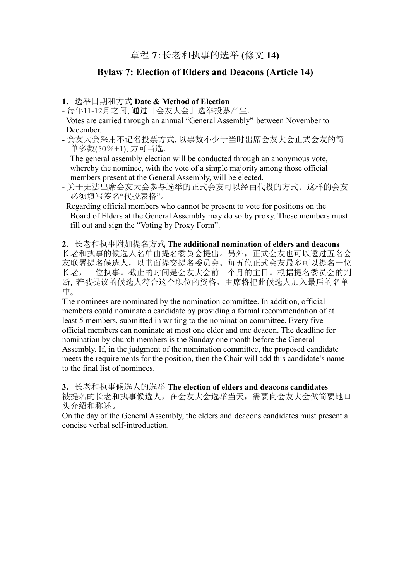## **Bylaw 7: Election of Elders and Deacons (Article 14)**

#### **1.** 选举日期和方式 **Date & Method of Election**

- 每年11-12月之间, 通过「会友大会」选举投票产生。

Votes are carried through an annual "General Assembly" between November to December.

- 会友大会采用不记名投票方式, 以票数不少于当时出席会友大会正式会友的简 单多数(50%+1), 方可当选。

The general assembly election will be conducted through an anonymous vote, whereby the nominee, with the vote of a simple majority among those official members present at the General Assembly, will be elected.

- 关于无法出席会友大会参与选举的正式会友可以经由代投的方式。这样的会友 必须填写签名"代投表格"。

Regarding official members who cannot be present to vote for positions on the Board of Elders at the General Assembly may do so by proxy. These members must fill out and sign the "Voting by Proxy Form".

**2.** 长老和执事附加提名方式 **The additional nomination of elders and deacons** 长老和执事的候选人名单由提名委员会提出。另外,正式会友也可以透过五名会 友联署提名候选人,以书面提交提名委员会。每五位正式会友最多可以提名一位 长老,一位执事。截止的时间是会友大会前一个月的主日。根据提名委员会的判 断,若被提议的候选人符合这个职位的资格,主席将把此候选人加入最后的名单 中。

The nominees are nominated by the nomination committee. In addition, official members could nominate a candidate by providing a formal recommendation of at least 5 members, submitted in writing to the nomination committee. Every five official members can nominate at most one elder and one deacon. The deadline for nomination by church members is the Sunday one month before the General Assembly. If, in the judgment of the nomination committee, the proposed candidate meets the requirements for the position, then the Chair will add this candidate's name to the final list of nominees.

**3.** 长老和执事候选人的选举 **The election of elders and deacons candidates** 被提名的长老和执事候选人,在会友大会选举当天,需要向会友大会做简要地口 头介绍和称述。

On the day of the General Assembly, the elders and deacons candidates must present a concise verbal self-introduction.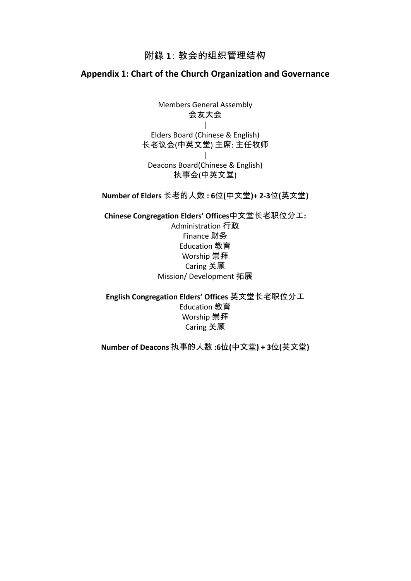## 附錄 **1**: 教会的组织管理结构

## **Appendix 1: Chart of the Church Organization and Governance**

Members General Assembly 会友大会 | Elders Board (Chinese & English) 长老议会(中英文堂) 主席: 主任牧师 | Deacons Board(Chinese & English) 执事会(中英文堂)

**Number of Elders** 长老的人数 **: 6**位**(**中文堂**)+ 2-3**位**(**英文堂**)**

**Chinese Congregation Elders' Offices**中文堂长老职位分工**:** Administration 行政 Finance 财务 Education 教育 Worship 崇拜 Caring 关顾 Mission/ Development 拓展

**English Congregation Elders' Offices** 英文堂长老职位分工 Education 教育 Worship 崇拜 Caring 关顾

**Number of Deacons** 执事的人数 **:6**位**(**中文堂**) + 3**位**(**英文堂**)**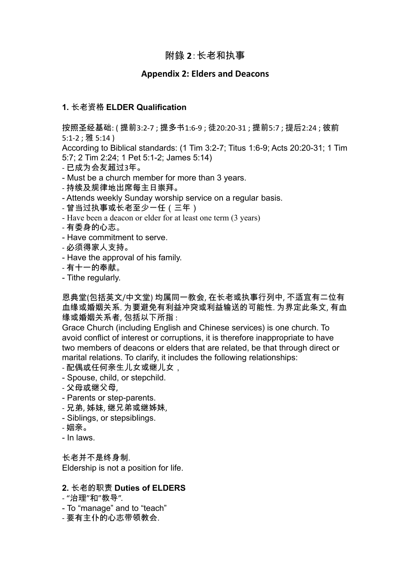## 附錄 **2**:长老和执事

#### **Appendix 2: Elders and Deacons**

#### **1.** 长老资格 **ELDER Qualification**

按照圣经基础: ( 提前3:2-7 ; 提多书1:6-9 ; 徒20:20-31 ; 提前5:7 ; 提后2:24 ; 彼前 5:1-2 ; 雅 5:14 )

According to Biblical standards: (1 Tim 3:2-7; Titus 1:6-9; Acts 20:20-31; 1 Tim 5:7; 2 Tim 2:24; 1 Pet 5:1-2; James 5:14)

- 已成为会友超过3年。
- Must be a church member for more than 3 years.
- 持续及规律地出席每主日崇拜。
- Attends weekly Sunday worship service on a regular basis.
- 曾当过执事或长老至少一任(三年)
- Have been a deacon or elder for at least one term (3 years)
- 有委身的心志。
- Have commitment to serve.
- 必须得家人支持。
- Have the approval of his family.
- 有十一的奉献。
- Tithe regularly.

恩典堂(包括英文/中文堂) 均属同一教会, 在长老或执事行列中, 不适宜有二位有 血缘或婚姻关系. 为要避免有利益冲突或利益输送的可能性. 为界定此条文, 有血 缘或婚姻关系者, 包括以下所指 :

Grace Church (including English and Chinese services) is one church. To avoid conflict of interest or corruptions, it is therefore inappropriate to have two members of deacons or elders that are related, be that through direct or marital relations. To clarify, it includes the following relationships:

- 配偶或任何亲生儿女或继儿女,
- Spouse, child, or stepchild.
- 父母或继父母,
- Parents or step-parents.
- 兄弟, 姊妹, 继兄弟或继姊妹,
- Siblings, or stepsiblings.
- 姻亲。
- In laws.

长老并不是终身制. Eldership is not a position for life.

#### **2.** 长老的职责 **Duties of ELDERS**

- "治理"和"教导".
- To "manage" and to "teach"
- 要有主仆的心志带领教会.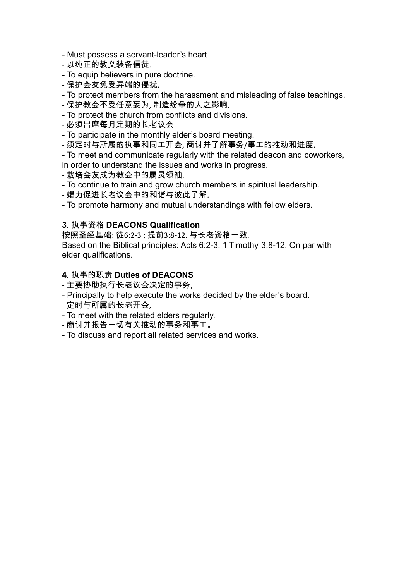- Must possess a servant-leader's heart
- 以纯正的教义装备信徒.
- To equip believers in pure doctrine.
- 保护会友免受异端的侵扰.
- To protect members from the harassment and misleading of false teachings.
- 保护教会不受任意妄为, 制造纷争的人之影响.
- To protect the church from conflicts and divisions.
- 必须出席每月定期的长老议会.
- To participate in the monthly elder's board meeting.
- 须定时与所属的执事和同工开会, 商讨并了解事务/事工的推动和进度.
- To meet and communicate regularly with the related deacon and coworkers, in order to understand the issues and works in progress.
- 栽培会友成为教会中的属灵领袖.
- To continue to train and grow church members in spiritual leadership.
- 竭力促进长老议会中的和谐与彼此了解.

- To promote harmony and mutual understandings with fellow elders.

#### **3.** 执事资格 **DEACONS Qualification**

按照圣经基础: 徒6:2-3 ; 提前3:8-12. 与长老资格一致. Based on the Biblical principles: Acts 6:2-3; 1 Timothy 3:8-12. On par with elder qualifications.

#### **4.** 执事的职责 **Duties of DEACONS**

- 主要协助执行长老议会决定的事务,
- Principally to help execute the works decided by the elder's board.
- 定时与所属的长老开会,
- To meet with the related elders regularly.
- 商讨并报告一切有关推动的事务和事工。
- To discuss and report all related services and works.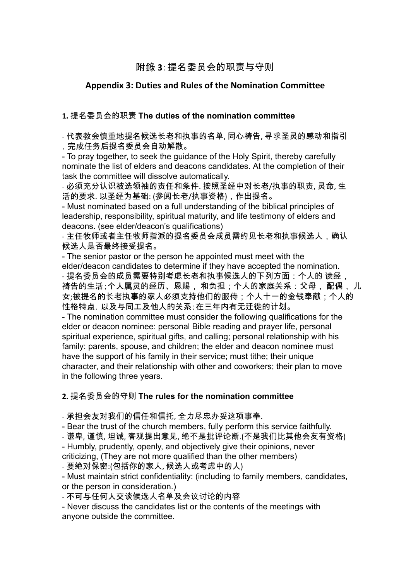## 附錄 **3**:提名委员会的职责与守则

### **Appendix 3: Duties and Rules of the Nomination Committee**

### **1.** 提名委员会的职责 **The duties of the nomination committee**

- 代表教会慎重地提名候选长老和执事的名单, 同心祷告, 寻求圣灵的感动和指引 ,完成任务后提名委员会自动解散。

- To pray together, to seek the guidance of the Holy Spirit, thereby carefully nominate the list of elders and deacons candidates. At the completion of their task the committee will dissolve automatically.

- 必须充分认识被选领袖的责任和条件. 按照圣经中对长老/执事的职责, 灵命, 生 活的要求. 以圣经为基础: (参阅长老/执事资格),作出提名。

- Must nominated based on a full understanding of the biblical principles of leadership, responsibility, spiritual maturity, and life testimony of elders and deacons. (see elder/deacon's qualifications)

- 主任牧师或者主任牧师指派的提名委员会成员需约见长老和执事候选人,确认 候选人是否最终接受提名。

- The senior pastor or the person he appointed must meet with the elder/deacon candidates to determine if they have accepted the nomination. - 提名委员会的成员需要特别考虑长老和执事候选人的下列方面:个人的 读经, 祷告的生活;个人属灵的经历、恩赐, 和负担;个人的家庭关系:父母, 配偶, 儿 女;被提名的长老执事的家人必须支持他们的服侍;个人十一的金钱奉献;个人的 性格特点,以及与同工及他人的关系;在三年内有无迁徙的计划。

- The nomination committee must consider the following qualifications for the elder or deacon nominee: personal Bible reading and prayer life, personal spiritual experience, spiritual gifts, and calling; personal relationship with his family: parents, spouse, and children; the elder and deacon nominee must have the support of his family in their service; must tithe; their unique character, and their relationship with other and coworkers; their plan to move in the following three years.

#### **2.** 提名委员会的守则 **The rules for the nomination committee**

- 承担会友对我们的信任和信托, 全力尽忠办妥这项事奉.

- Bear the trust of the church members, fully perform this service faithfully.

- 谦卑, 谨慎, 坦诚, 客观提出意见, 绝不是批评论断.(不是我们比其他会友有资格)

- Humbly, prudently, openly, and objectively give their opinions, never criticizing, (They are not more qualified than the other members)

- 要绝对保密:(包括你的家人, 候选人或考虑中的人)

- Must maintain strict confidentiality: (including to family members, candidates, or the person in consideration.)

- 不可与任何人交谈候选人名单及会议讨论的内容

- Never discuss the candidates list or the contents of the meetings with anyone outside the committee.